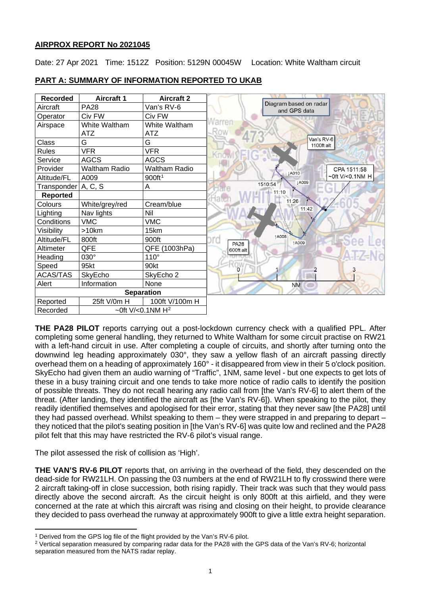# **AIRPROX REPORT No 2021045**

Date: 27 Apr 2021 Time: 1512Z Position: 5129N 00045W Location: White Waltham circuit

| <b>Recorded</b>     | <b>Aircraft 1</b>      | <b>Aircraft 2</b>    |                                             |  |
|---------------------|------------------------|----------------------|---------------------------------------------|--|
| Aircraft            | <b>PA28</b>            | Van's RV-6           | Diagram based on radar<br>and GPS data      |  |
| Operator            | Civ FW                 | Civ FW               |                                             |  |
| Airspace            | White Waltham          | White Waltham        |                                             |  |
|                     | <b>ATZ</b>             | <b>ATZ</b>           |                                             |  |
| Class               | G                      | G                    | Van's RV-6<br>1100ft alt                    |  |
| Rules               | <b>VFR</b>             | <b>VFR</b>           |                                             |  |
| Service             | <b>AGCS</b>            | <b>AGCS</b>          |                                             |  |
| Provider            | <b>Waltham Radio</b>   | <b>Waltham Radio</b> | CPA 1511:58<br>LA010                        |  |
| Altitude/FL         | A009                   | 900ft <sup>1</sup>   | ~0ft V/<0.1NM H<br><b>LA009</b>             |  |
| Transponder A, C, S |                        | A                    | 1510:54                                     |  |
| <b>Reported</b>     |                        |                      | 11:10                                       |  |
| Colours             | White/grey/red         | Cream/blue           | 11:26<br>11:42                              |  |
| Lighting            | Nav lights             | Nil                  |                                             |  |
| Conditions          | <b>VMC</b>             | <b>VMC</b>           |                                             |  |
| Visibility          | >10km                  | 15km                 |                                             |  |
| Altitude/FL         | 800ft                  | 900ft                | <b>1A008</b><br>ord<br>1A009<br><b>PA28</b> |  |
| Altimeter           | QFE                    | QFE (1003hPa)        | 600ft alt                                   |  |
| Heading             | 030°                   | $110^\circ$          |                                             |  |
| Speed               | 95kt                   | 90kt                 |                                             |  |
| ACAS/TAS            | SkyEcho                | SkyEcho 2            |                                             |  |
| Alert               | Information            | None                 | <b>NM</b>                                   |  |
|                     |                        | <b>Separation</b>    |                                             |  |
| Reported            | 25ft V/0m H            | 100ft V/100m H       |                                             |  |
| Recorded            | ~0ft $V$ /<0.1NM $H^2$ |                      |                                             |  |

# **PART A: SUMMARY OF INFORMATION REPORTED TO UKAB**

**THE PA28 PILOT** reports carrying out a post-lockdown currency check with a qualified PPL. After completing some general handling, they returned to White Waltham for some circuit practise on RW21 with a left-hand circuit in use. After completing a couple of circuits, and shortly after turning onto the downwind leg heading approximately 030°, they saw a yellow flash of an aircraft passing directly overhead them on a heading of approximately 160° - it disappeared from view in their 5 o'clock position. SkyEcho had given them an audio warning of "Traffic", 1NM, same level - but one expects to get lots of these in a busy training circuit and one tends to take more notice of radio calls to identify the position of possible threats. They do not recall hearing any radio call from [the Van's RV-6] to alert them of the threat. (After landing, they identified the aircraft as [the Van's RV-6]). When speaking to the pilot, they readily identified themselves and apologised for their error, stating that they never saw [the PA28] until they had passed overhead. Whilst speaking to them – they were strapped in and preparing to depart – they noticed that the pilot's seating position in [the Van's RV-6] was quite low and reclined and the PA28 pilot felt that this may have restricted the RV-6 pilot's visual range.

The pilot assessed the risk of collision as 'High'.

**THE VAN'S RV-6 PILOT** reports that, on arriving in the overhead of the field, they descended on the dead-side for RW21LH. On passing the 03 numbers at the end of RW21LH to fly crosswind there were 2 aircraft taking-off in close succession, both rising rapidly. Their track was such that they would pass directly above the second aircraft. As the circuit height is only 800ft at this airfield, and they were concerned at the rate at which this aircraft was rising and closing on their height, to provide clearance they decided to pass overhead the runway at approximately 900ft to give a little extra height separation.

<span id="page-0-0"></span><sup>&</sup>lt;sup>1</sup> Derived from the GPS log file of the flight provided by the Van's RV-6 pilot.

<span id="page-0-1"></span><sup>2</sup> Vertical separation measured by comparing radar data for the PA28 with the GPS data of the Van's RV-6; horizontal separation measured from the NATS radar replay.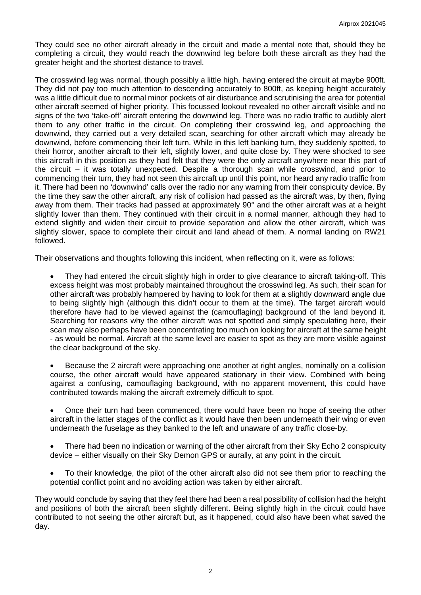They could see no other aircraft already in the circuit and made a mental note that, should they be completing a circuit, they would reach the downwind leg before both these aircraft as they had the greater height and the shortest distance to travel.

The crosswind leg was normal, though possibly a little high, having entered the circuit at maybe 900ft. They did not pay too much attention to descending accurately to 800ft, as keeping height accurately was a little difficult due to normal minor pockets of air disturbance and scrutinising the area for potential other aircraft seemed of higher priority. This focussed lookout revealed no other aircraft visible and no signs of the two 'take-off' aircraft entering the downwind leg. There was no radio traffic to audibly alert them to any other traffic in the circuit. On completing their crosswind leg, and approaching the downwind, they carried out a very detailed scan, searching for other aircraft which may already be downwind, before commencing their left turn. While in this left banking turn, they suddenly spotted, to their horror, another aircraft to their left, slightly lower, and quite close by. They were shocked to see this aircraft in this position as they had felt that they were the only aircraft anywhere near this part of the circuit – it was totally unexpected. Despite a thorough scan while crosswind, and prior to commencing their turn, they had not seen this aircraft up until this point, nor heard any radio traffic from it. There had been no 'downwind' calls over the radio nor any warning from their conspicuity device. By the time they saw the other aircraft, any risk of collision had passed as the aircraft was, by then, flying away from them. Their tracks had passed at approximately 90° and the other aircraft was at a height slightly lower than them. They continued with their circuit in a normal manner, although they had to extend slightly and widen their circuit to provide separation and allow the other aircraft, which was slightly slower, space to complete their circuit and land ahead of them. A normal landing on RW21 followed.

Their observations and thoughts following this incident, when reflecting on it, were as follows:

• They had entered the circuit slightly high in order to give clearance to aircraft taking-off. This excess height was most probably maintained throughout the crosswind leg. As such, their scan for other aircraft was probably hampered by having to look for them at a slightly downward angle due to being slightly high (although this didn't occur to them at the time). The target aircraft would therefore have had to be viewed against the (camouflaging) background of the land beyond it. Searching for reasons why the other aircraft was not spotted and simply speculating here, their scan may also perhaps have been concentrating too much on looking for aircraft at the same height - as would be normal. Aircraft at the same level are easier to spot as they are more visible against the clear background of the sky.

• Because the 2 aircraft were approaching one another at right angles, nominally on a collision course, the other aircraft would have appeared stationary in their view. Combined with being against a confusing, camouflaging background, with no apparent movement, this could have contributed towards making the aircraft extremely difficult to spot.

• Once their turn had been commenced, there would have been no hope of seeing the other aircraft in the latter stages of the conflict as it would have then been underneath their wing or even underneath the fuselage as they banked to the left and unaware of any traffic close-by.

• There had been no indication or warning of the other aircraft from their Sky Echo 2 conspicuity device – either visually on their Sky Demon GPS or aurally, at any point in the circuit.

• To their knowledge, the pilot of the other aircraft also did not see them prior to reaching the potential conflict point and no avoiding action was taken by either aircraft.

They would conclude by saying that they feel there had been a real possibility of collision had the height and positions of both the aircraft been slightly different. Being slightly high in the circuit could have contributed to not seeing the other aircraft but, as it happened, could also have been what saved the day.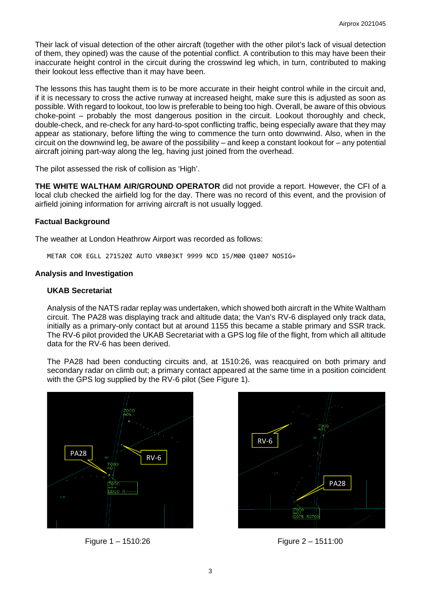Their lack of visual detection of the other aircraft (together with the other pilot's lack of visual detection of them, they opined) was the cause of the potential conflict. A contribution to this may have been their inaccurate height control in the circuit during the crosswind leg which, in turn, contributed to making their lookout less effective than it may have been.

The lessons this has taught them is to be more accurate in their height control while in the circuit and, if it is necessary to cross the active runway at increased height, make sure this is adjusted as soon as possible. With regard to lookout, too low is preferable to being too high. Overall, be aware of this obvious choke-point – probably the most dangerous position in the circuit. Lookout thoroughly and check, double-check, and re-check for any hard-to-spot conflicting traffic, being especially aware that they may appear as stationary, before lifting the wing to commence the turn onto downwind. Also, when in the circuit on the downwind leg, be aware of the possibility – and keep a constant lookout for – any potential aircraft joining part-way along the leg, having just joined from the overhead.

The pilot assessed the risk of collision as 'High'.

**THE WHITE WALTHAM AIR/GROUND OPERATOR** did not provide a report. However, the CFI of a local club checked the airfield log for the day. There was no record of this event, and the provision of airfield joining information for arriving aircraft is not usually logged.

## **Factual Background**

The weather at London Heathrow Airport was recorded as follows:

METAR COR EGLL 271520Z AUTO VRB03KT 9999 NCD 15/M00 Q1007 NOSIG=

## **Analysis and Investigation**

## **UKAB Secretariat**

Analysis of the NATS radar replay was undertaken, which showed both aircraft in the White Waltham circuit. The PA28 was displaying track and altitude data; the Van's RV-6 displayed only track data, initially as a primary-only contact but at around 1155 this became a stable primary and SSR track. The RV-6 pilot provided the UKAB Secretariat with a GPS log file of the flight, from which all altitude data for the RV-6 has been derived.

The PA28 had been conducting circuits and, at 1510:26, was reacquired on both primary and secondary radar on climb out; a primary contact appeared at the same time in a position coincident with the GPS log supplied by the RV-6 pilot (See Figure 1).





Figure 1 – 1510:26 Figure 2 – 1511:00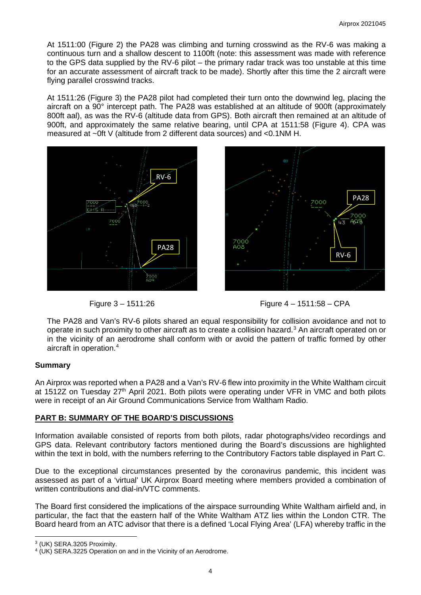At 1511:00 (Figure 2) the PA28 was climbing and turning crosswind as the RV-6 was making a continuous turn and a shallow descent to 1100ft (note: this assessment was made with reference to the GPS data supplied by the RV-6 pilot – the primary radar track was too unstable at this time for an accurate assessment of aircraft track to be made). Shortly after this time the 2 aircraft were flying parallel crosswind tracks.

At 1511:26 (Figure 3) the PA28 pilot had completed their turn onto the downwind leg, placing the aircraft on a 90° intercept path. The PA28 was established at an altitude of 900ft (approximately 800ft aal), as was the RV-6 (altitude data from GPS). Both aircraft then remained at an altitude of 900ft, and approximately the same relative bearing, until CPA at 1511:58 (Figure 4). CPA was measured at ~0ft V (altitude from 2 different data sources) and <0.1NM H.









The PA28 and Van's RV-6 pilots shared an equal responsibility for collision avoidance and not to operate in such proximity to other aircraft as to create a collision hazard. [3](#page-3-0) An aircraft operated on or in the vicinity of an aerodrome shall conform with or avoid the pattern of traffic formed by other aircraft in operation. [4](#page-3-1)

# **Summary**

An Airprox was reported when a PA28 and a Van's RV-6 flew into proximity in the White Waltham circuit at 1512Z on Tuesday 27<sup>th</sup> April 2021. Both pilots were operating under VFR in VMC and both pilots were in receipt of an Air Ground Communications Service from Waltham Radio.

# **PART B: SUMMARY OF THE BOARD'S DISCUSSIONS**

Information available consisted of reports from both pilots, radar photographs/video recordings and GPS data. Relevant contributory factors mentioned during the Board's discussions are highlighted within the text in bold, with the numbers referring to the Contributory Factors table displayed in Part C.

Due to the exceptional circumstances presented by the coronavirus pandemic, this incident was assessed as part of a 'virtual' UK Airprox Board meeting where members provided a combination of written contributions and dial-in/VTC comments.

The Board first considered the implications of the airspace surrounding White Waltham airfield and, in particular, the fact that the eastern half of the White Waltham ATZ lies within the London CTR. The Board heard from an ATC advisor that there is a defined 'Local Flying Area' (LFA) whereby traffic in the

<span id="page-3-0"></span><sup>3</sup> (UK) SERA.3205 Proximity.

<span id="page-3-1"></span><sup>4</sup> (UK) SERA.3225 Operation on and in the Vicinity of an Aerodrome.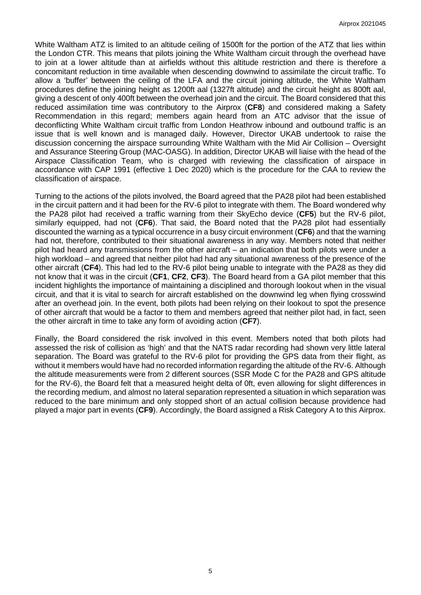White Waltham ATZ is limited to an altitude ceiling of 1500ft for the portion of the ATZ that lies within the London CTR. This means that pilots joining the White Waltham circuit through the overhead have to join at a lower altitude than at airfields without this altitude restriction and there is therefore a concomitant reduction in time available when descending downwind to assimilate the circuit traffic. To allow a 'buffer' between the ceiling of the LFA and the circuit joining altitude, the White Waltham procedures define the joining height as 1200ft aal (1327ft altitude) and the circuit height as 800ft aal, giving a descent of only 400ft between the overhead join and the circuit. The Board considered that this reduced assimilation time was contributory to the Airprox (**CF8**) and considered making a Safety Recommendation in this regard; members again heard from an ATC advisor that the issue of deconflicting White Waltham circuit traffic from London Heathrow inbound and outbound traffic is an issue that is well known and is managed daily. However, Director UKAB undertook to raise the discussion concerning the airspace surrounding White Waltham with the Mid Air Collision – Oversight and Assurance Steering Group (MAC-OASG). In addition, Director UKAB will liaise with the head of the Airspace Classification Team, who is charged with reviewing the classification of airspace in accordance with CAP 1991 (effective 1 Dec 2020) which is the procedure for the CAA to review the classification of airspace.

Turning to the actions of the pilots involved, the Board agreed that the PA28 pilot had been established in the circuit pattern and it had been for the RV-6 pilot to integrate with them. The Board wondered why the PA28 pilot had received a traffic warning from their SkyEcho device (**CF5**) but the RV-6 pilot, similarly equipped, had not (**CF6**). That said, the Board noted that the PA28 pilot had essentially discounted the warning as a typical occurrence in a busy circuit environment (**CF6**) and that the warning had not, therefore, contributed to their situational awareness in any way. Members noted that neither pilot had heard any transmissions from the other aircraft – an indication that both pilots were under a high workload – and agreed that neither pilot had had any situational awareness of the presence of the other aircraft (**CF4**). This had led to the RV-6 pilot being unable to integrate with the PA28 as they did not know that it was in the circuit (**CF1**, **CF2**, **CF3**). The Board heard from a GA pilot member that this incident highlights the importance of maintaining a disciplined and thorough lookout when in the visual circuit, and that it is vital to search for aircraft established on the downwind leg when flying crosswind after an overhead join. In the event, both pilots had been relying on their lookout to spot the presence of other aircraft that would be a factor to them and members agreed that neither pilot had, in fact, seen the other aircraft in time to take any form of avoiding action (**CF7**).

Finally, the Board considered the risk involved in this event. Members noted that both pilots had assessed the risk of collision as 'high' and that the NATS radar recording had shown very little lateral separation. The Board was grateful to the RV-6 pilot for providing the GPS data from their flight, as without it members would have had no recorded information regarding the altitude of the RV-6. Although the altitude measurements were from 2 different sources (SSR Mode C for the PA28 and GPS altitude for the RV-6), the Board felt that a measured height delta of 0ft, even allowing for slight differences in the recording medium, and almost no lateral separation represented a situation in which separation was reduced to the bare minimum and only stopped short of an actual collision because providence had played a major part in events (**CF9**). Accordingly, the Board assigned a Risk Category A to this Airprox.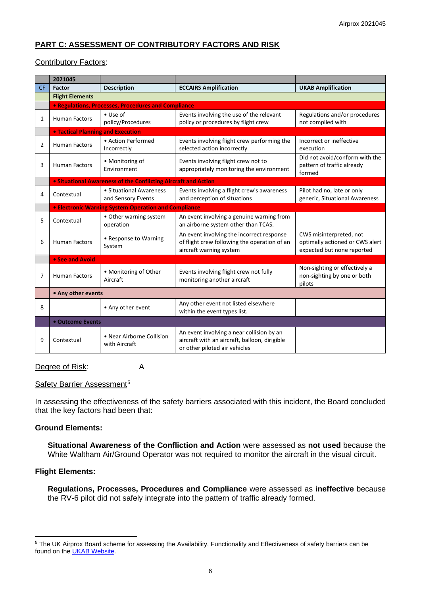# **PART C: ASSESSMENT OF CONTRIBUTORY FACTORS AND RISK**

## Contributory Factors:

|           | 2021045                |                                                                       |                                                                                                                             |                                                                                          |  |  |  |  |
|-----------|------------------------|-----------------------------------------------------------------------|-----------------------------------------------------------------------------------------------------------------------------|------------------------------------------------------------------------------------------|--|--|--|--|
| <b>CF</b> | Factor                 | <b>Description</b>                                                    | <b>ECCAIRS Amplification</b>                                                                                                | <b>UKAB Amplification</b>                                                                |  |  |  |  |
|           | <b>Flight Elements</b> |                                                                       |                                                                                                                             |                                                                                          |  |  |  |  |
|           |                        | • Regulations, Processes, Procedures and Compliance                   |                                                                                                                             |                                                                                          |  |  |  |  |
| 1         | <b>Human Factors</b>   | $\bullet$ Use of<br>policy/Procedures                                 | Events involving the use of the relevant<br>policy or procedures by flight crew                                             | Regulations and/or procedures<br>not complied with                                       |  |  |  |  |
|           |                        | <b>• Tactical Planning and Execution</b>                              |                                                                                                                             |                                                                                          |  |  |  |  |
| 2         | <b>Human Factors</b>   | • Action Performed<br>Incorrectly                                     | Events involving flight crew performing the<br>selected action incorrectly                                                  | Incorrect or ineffective<br>execution                                                    |  |  |  |  |
| 3         | <b>Human Factors</b>   | • Monitoring of<br>Environment                                        | Events involving flight crew not to<br>appropriately monitoring the environment                                             | Did not avoid/conform with the<br>pattern of traffic already<br>formed                   |  |  |  |  |
|           |                        | <b>.</b> Situational Awareness of the Conflicting Aircraft and Action |                                                                                                                             |                                                                                          |  |  |  |  |
| 4         | Contextual             | • Situational Awareness<br>and Sensory Events                         | Events involving a flight crew's awareness<br>and perception of situations                                                  | Pilot had no, late or only<br>generic, Situational Awareness                             |  |  |  |  |
|           |                        | <b>• Electronic Warning System Operation and Compliance</b>           |                                                                                                                             |                                                                                          |  |  |  |  |
| 5         | Contextual             | • Other warning system<br>operation                                   | An event involving a genuine warning from<br>an airborne system other than TCAS.                                            |                                                                                          |  |  |  |  |
| 6         | <b>Human Factors</b>   | • Response to Warning<br>System                                       | An event involving the incorrect response<br>of flight crew following the operation of an<br>aircraft warning system        | CWS misinterpreted, not<br>optimally actioned or CWS alert<br>expected but none reported |  |  |  |  |
|           | • See and Avoid        |                                                                       |                                                                                                                             |                                                                                          |  |  |  |  |
| 7         | <b>Human Factors</b>   | • Monitoring of Other<br>Aircraft                                     | Events involving flight crew not fully<br>monitoring another aircraft                                                       | Non-sighting or effectively a<br>non-sighting by one or both<br>pilots                   |  |  |  |  |
|           | • Any other events     |                                                                       |                                                                                                                             |                                                                                          |  |  |  |  |
| 8         |                        | • Any other event                                                     | Any other event not listed elsewhere<br>within the event types list.                                                        |                                                                                          |  |  |  |  |
|           | • Outcome Events       |                                                                       |                                                                                                                             |                                                                                          |  |  |  |  |
| 9         | Contextual             | • Near Airborne Collision<br>with Aircraft                            | An event involving a near collision by an<br>aircraft with an aircraft, balloon, dirigible<br>or other piloted air vehicles |                                                                                          |  |  |  |  |

### Degree of Risk: A

### Safety Barrier Assessment<sup>[5](#page-5-0)</sup>

In assessing the effectiveness of the safety barriers associated with this incident, the Board concluded that the key factors had been that:

### **Ground Elements:**

**Situational Awareness of the Confliction and Action** were assessed as **not used** because the White Waltham Air/Ground Operator was not required to monitor the aircraft in the visual circuit.

### **Flight Elements:**

**Regulations, Processes, Procedures and Compliance** were assessed as **ineffective** because the RV-6 pilot did not safely integrate into the pattern of traffic already formed.

<span id="page-5-0"></span><sup>5</sup> The UK Airprox Board scheme for assessing the Availability, Functionality and Effectiveness of safety barriers can be found on the **UKAB Website**.